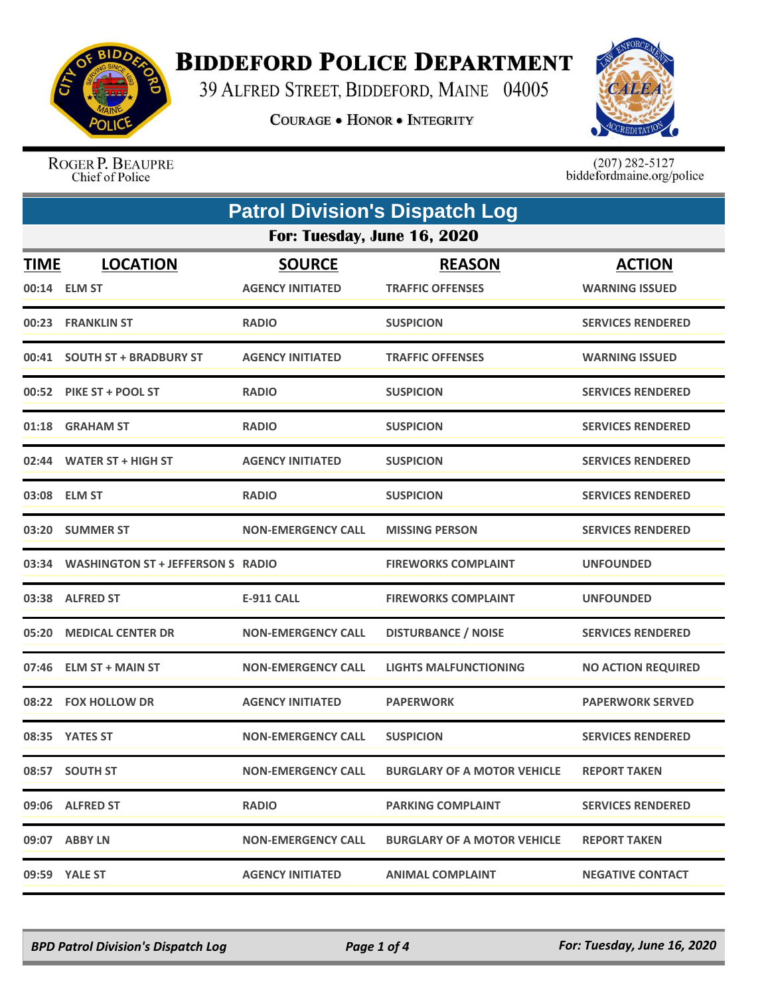

## **BIDDEFORD POLICE DEPARTMENT**

39 ALFRED STREET, BIDDEFORD, MAINE 04005

**COURAGE . HONOR . INTEGRITY** 



ROGER P. BEAUPRE Chief of Police

 $(207)$  282-5127<br>biddefordmaine.org/police

| <b>Patrol Division's Dispatch Log</b> |                                          |                                          |                                          |                                        |  |  |
|---------------------------------------|------------------------------------------|------------------------------------------|------------------------------------------|----------------------------------------|--|--|
|                                       | For: Tuesday, June 16, 2020              |                                          |                                          |                                        |  |  |
| <b>TIME</b>                           | <b>LOCATION</b><br>00:14 ELM ST          | <b>SOURCE</b><br><b>AGENCY INITIATED</b> | <b>REASON</b><br><b>TRAFFIC OFFENSES</b> | <b>ACTION</b><br><b>WARNING ISSUED</b> |  |  |
|                                       | 00:23 FRANKLIN ST                        | <b>RADIO</b>                             | <b>SUSPICION</b>                         | <b>SERVICES RENDERED</b>               |  |  |
| 00:41                                 | <b>SOUTH ST + BRADBURY ST</b>            | <b>AGENCY INITIATED</b>                  | <b>TRAFFIC OFFENSES</b>                  | <b>WARNING ISSUED</b>                  |  |  |
|                                       | 00:52 PIKE ST + POOL ST                  | <b>RADIO</b>                             | <b>SUSPICION</b>                         | <b>SERVICES RENDERED</b>               |  |  |
|                                       | 01:18 GRAHAM ST                          | <b>RADIO</b>                             | <b>SUSPICION</b>                         | <b>SERVICES RENDERED</b>               |  |  |
| 02:44                                 | <b>WATER ST + HIGH ST</b>                | <b>AGENCY INITIATED</b>                  | <b>SUSPICION</b>                         | <b>SERVICES RENDERED</b>               |  |  |
|                                       | 03:08 ELM ST                             | <b>RADIO</b>                             | <b>SUSPICION</b>                         | <b>SERVICES RENDERED</b>               |  |  |
| 03:20                                 | <b>SUMMER ST</b>                         | <b>NON-EMERGENCY CALL</b>                | <b>MISSING PERSON</b>                    | <b>SERVICES RENDERED</b>               |  |  |
| 03:34                                 | <b>WASHINGTON ST + JEFFERSON S RADIO</b> |                                          | <b>FIREWORKS COMPLAINT</b>               | <b>UNFOUNDED</b>                       |  |  |
|                                       | 03:38 ALFRED ST                          | <b>E-911 CALL</b>                        | <b>FIREWORKS COMPLAINT</b>               | <b>UNFOUNDED</b>                       |  |  |
| 05:20                                 | <b>MEDICAL CENTER DR</b>                 | <b>NON-EMERGENCY CALL</b>                | <b>DISTURBANCE / NOISE</b>               | <b>SERVICES RENDERED</b>               |  |  |
| 07:46                                 | <b>ELM ST + MAIN ST</b>                  | <b>NON-EMERGENCY CALL</b>                | <b>LIGHTS MALFUNCTIONING</b>             | <b>NO ACTION REQUIRED</b>              |  |  |
| 08:22                                 | <b>FOX HOLLOW DR</b>                     | <b>AGENCY INITIATED</b>                  | <b>PAPERWORK</b>                         | <b>PAPERWORK SERVED</b>                |  |  |
|                                       | 08:35 YATES ST                           | <b>NON-EMERGENCY CALL</b>                | <b>SUSPICION</b>                         | <b>SERVICES RENDERED</b>               |  |  |
|                                       | 08:57 SOUTH ST                           | <b>NON-EMERGENCY CALL</b>                | <b>BURGLARY OF A MOTOR VEHICLE</b>       | <b>REPORT TAKEN</b>                    |  |  |
|                                       | 09:06 ALFRED ST                          | <b>RADIO</b>                             | <b>PARKING COMPLAINT</b>                 | <b>SERVICES RENDERED</b>               |  |  |
|                                       | 09:07 ABBY LN                            | <b>NON-EMERGENCY CALL</b>                | <b>BURGLARY OF A MOTOR VEHICLE</b>       | <b>REPORT TAKEN</b>                    |  |  |
|                                       | 09:59 YALE ST                            | <b>AGENCY INITIATED</b>                  | <b>ANIMAL COMPLAINT</b>                  | <b>NEGATIVE CONTACT</b>                |  |  |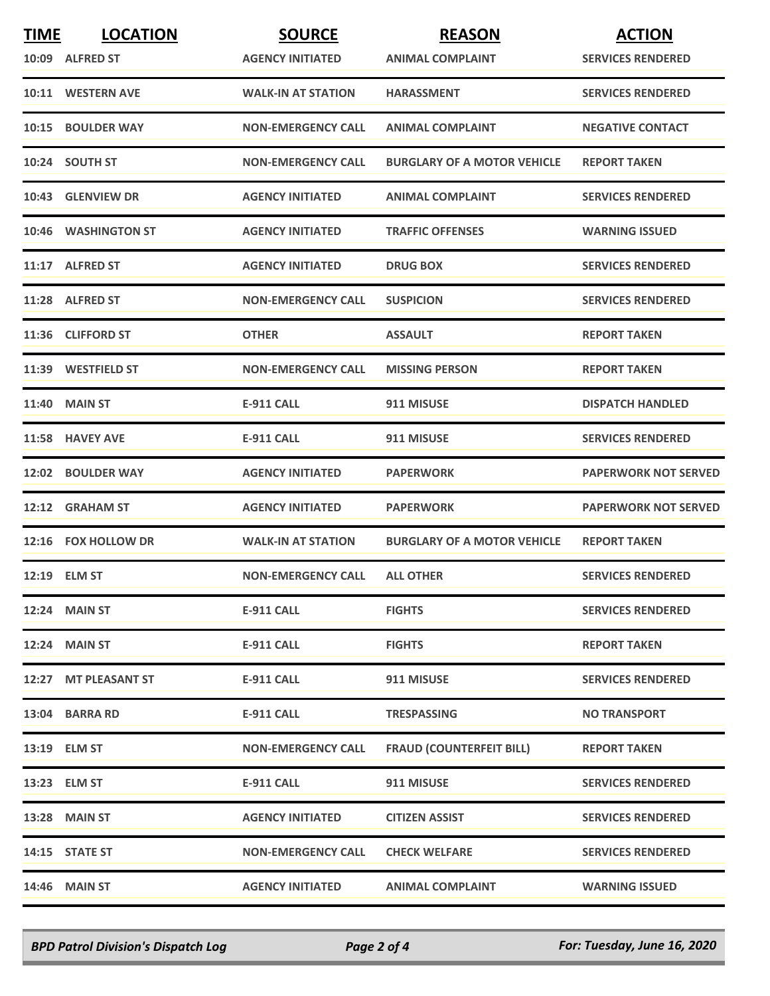| <b>TIME</b> | <b>LOCATION</b>      | <b>SOURCE</b>             | <b>REASON</b>                      | <b>ACTION</b>               |
|-------------|----------------------|---------------------------|------------------------------------|-----------------------------|
|             | 10:09 ALFRED ST      | <b>AGENCY INITIATED</b>   | <b>ANIMAL COMPLAINT</b>            | <b>SERVICES RENDERED</b>    |
|             | 10:11 WESTERN AVE    | <b>WALK-IN AT STATION</b> | <b>HARASSMENT</b>                  | <b>SERVICES RENDERED</b>    |
|             | 10:15 BOULDER WAY    | <b>NON-EMERGENCY CALL</b> | <b>ANIMAL COMPLAINT</b>            | <b>NEGATIVE CONTACT</b>     |
|             | 10:24 SOUTH ST       | <b>NON-EMERGENCY CALL</b> | <b>BURGLARY OF A MOTOR VEHICLE</b> | <b>REPORT TAKEN</b>         |
|             | 10:43 GLENVIEW DR    | <b>AGENCY INITIATED</b>   | <b>ANIMAL COMPLAINT</b>            | <b>SERVICES RENDERED</b>    |
|             | 10:46 WASHINGTON ST  | <b>AGENCY INITIATED</b>   | <b>TRAFFIC OFFENSES</b>            | <b>WARNING ISSUED</b>       |
|             | 11:17 ALFRED ST      | <b>AGENCY INITIATED</b>   | <b>DRUG BOX</b>                    | <b>SERVICES RENDERED</b>    |
|             | 11:28 ALFRED ST      | <b>NON-EMERGENCY CALL</b> | <b>SUSPICION</b>                   | <b>SERVICES RENDERED</b>    |
|             | 11:36 CLIFFORD ST    | <b>OTHER</b>              | <b>ASSAULT</b>                     | <b>REPORT TAKEN</b>         |
|             | 11:39 WESTFIELD ST   | <b>NON-EMERGENCY CALL</b> | <b>MISSING PERSON</b>              | <b>REPORT TAKEN</b>         |
|             | <b>11:40 MAIN ST</b> | E-911 CALL                | 911 MISUSE                         | <b>DISPATCH HANDLED</b>     |
|             | 11:58 HAVEY AVE      | <b>E-911 CALL</b>         | 911 MISUSE                         | <b>SERVICES RENDERED</b>    |
|             | 12:02 BOULDER WAY    | <b>AGENCY INITIATED</b>   | <b>PAPERWORK</b>                   | <b>PAPERWORK NOT SERVED</b> |
|             | 12:12 GRAHAM ST      | <b>AGENCY INITIATED</b>   | <b>PAPERWORK</b>                   | <b>PAPERWORK NOT SERVED</b> |
|             | 12:16 FOX HOLLOW DR  | <b>WALK-IN AT STATION</b> | <b>BURGLARY OF A MOTOR VEHICLE</b> | <b>REPORT TAKEN</b>         |
|             | 12:19 ELM ST         | <b>NON-EMERGENCY CALL</b> | <b>ALL OTHER</b>                   | <b>SERVICES RENDERED</b>    |
|             | <b>12:24 MAIN ST</b> | E-911 CALL                | <b>FIGHTS</b>                      | <b>SERVICES RENDERED</b>    |
|             | <b>12:24 MAIN ST</b> | E-911 CALL                | <b>FIGHTS</b>                      | <b>REPORT TAKEN</b>         |
|             | 12:27 MT PLEASANT ST | <b>E-911 CALL</b>         | 911 MISUSE                         | <b>SERVICES RENDERED</b>    |
|             | 13:04 BARRA RD       | E-911 CALL                | <b>TRESPASSING</b>                 | <b>NO TRANSPORT</b>         |
|             | 13:19 ELM ST         | <b>NON-EMERGENCY CALL</b> | <b>FRAUD (COUNTERFEIT BILL)</b>    | <b>REPORT TAKEN</b>         |
|             | 13:23 ELM ST         | E-911 CALL                | 911 MISUSE                         | <b>SERVICES RENDERED</b>    |
|             | 13:28 MAIN ST        | <b>AGENCY INITIATED</b>   | <b>CITIZEN ASSIST</b>              | <b>SERVICES RENDERED</b>    |
|             | 14:15 STATE ST       | <b>NON-EMERGENCY CALL</b> | <b>CHECK WELFARE</b>               | <b>SERVICES RENDERED</b>    |
|             | 14:46 MAIN ST        | <b>AGENCY INITIATED</b>   | <b>ANIMAL COMPLAINT</b>            | <b>WARNING ISSUED</b>       |

*BPD Patrol Division's Dispatch Log Page 2 of 4 For: Tuesday, June 16, 2020*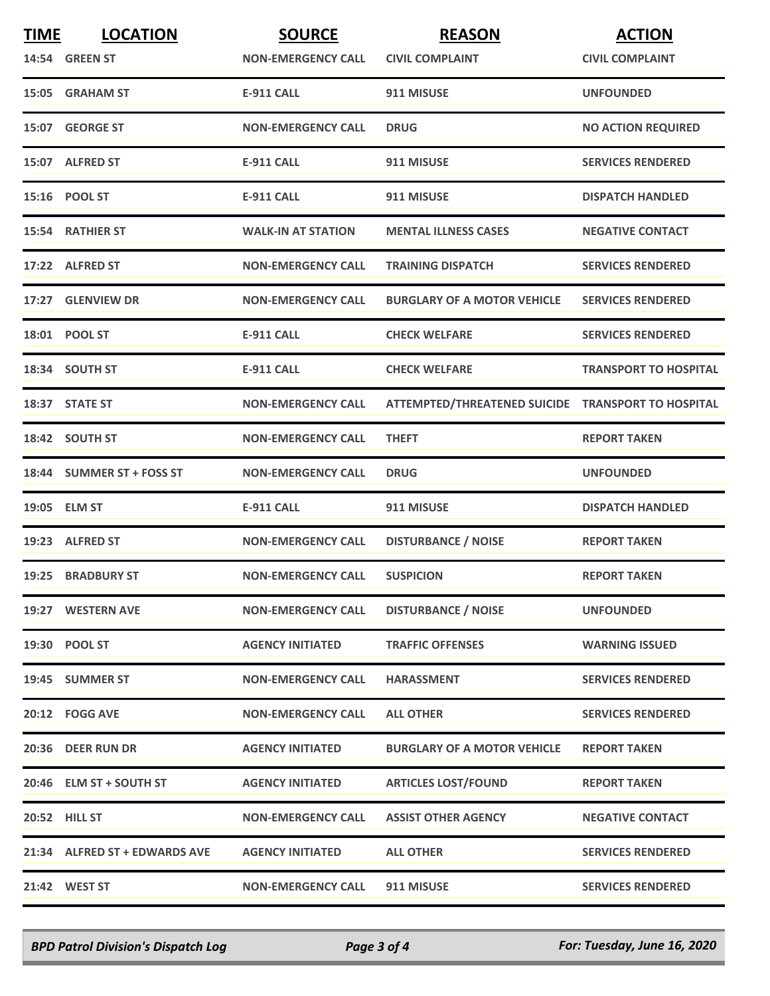| <b>TIME</b> | <b>LOCATION</b>               | <b>SOURCE</b>             | <b>REASON</b>                                      | <b>ACTION</b>                |
|-------------|-------------------------------|---------------------------|----------------------------------------------------|------------------------------|
|             | 14:54 GREEN ST                | <b>NON-EMERGENCY CALL</b> | <b>CIVIL COMPLAINT</b>                             | <b>CIVIL COMPLAINT</b>       |
|             | 15:05 GRAHAM ST               | <b>E-911 CALL</b>         | 911 MISUSE                                         | <b>UNFOUNDED</b>             |
|             | 15:07 GEORGE ST               | <b>NON-EMERGENCY CALL</b> | <b>DRUG</b>                                        | <b>NO ACTION REQUIRED</b>    |
|             | 15:07 ALFRED ST               | <b>E-911 CALL</b>         | 911 MISUSE                                         | <b>SERVICES RENDERED</b>     |
|             | 15:16 POOL ST                 | <b>E-911 CALL</b>         | 911 MISUSE                                         | <b>DISPATCH HANDLED</b>      |
|             | 15:54 RATHIER ST              | <b>WALK-IN AT STATION</b> | <b>MENTAL ILLNESS CASES</b>                        | <b>NEGATIVE CONTACT</b>      |
|             | 17:22 ALFRED ST               | <b>NON-EMERGENCY CALL</b> | <b>TRAINING DISPATCH</b>                           | <b>SERVICES RENDERED</b>     |
|             | 17:27 GLENVIEW DR             | <b>NON-EMERGENCY CALL</b> | <b>BURGLARY OF A MOTOR VEHICLE</b>                 | <b>SERVICES RENDERED</b>     |
|             | 18:01 POOL ST                 | <b>E-911 CALL</b>         | <b>CHECK WELFARE</b>                               | <b>SERVICES RENDERED</b>     |
|             | 18:34 SOUTH ST                | <b>E-911 CALL</b>         | <b>CHECK WELFARE</b>                               | <b>TRANSPORT TO HOSPITAL</b> |
|             | 18:37 STATE ST                | <b>NON-EMERGENCY CALL</b> | ATTEMPTED/THREATENED SUICIDE TRANSPORT TO HOSPITAL |                              |
|             | 18:42 SOUTH ST                | <b>NON-EMERGENCY CALL</b> | <b>THEFT</b>                                       | <b>REPORT TAKEN</b>          |
|             | 18:44 SUMMER ST + FOSS ST     | <b>NON-EMERGENCY CALL</b> | <b>DRUG</b>                                        | <b>UNFOUNDED</b>             |
|             | 19:05 ELM ST                  | <b>E-911 CALL</b>         | 911 MISUSE                                         | <b>DISPATCH HANDLED</b>      |
|             | 19:23 ALFRED ST               | <b>NON-EMERGENCY CALL</b> | <b>DISTURBANCE / NOISE</b>                         | <b>REPORT TAKEN</b>          |
|             | 19:25 BRADBURY ST             | <b>NON-EMERGENCY CALL</b> | <b>SUSPICION</b>                                   | <b>REPORT TAKEN</b>          |
|             | 19:27 WESTERN AVE             | <b>NON-EMERGENCY CALL</b> | <b>DISTURBANCE / NOISE</b>                         | <b>UNFOUNDED</b>             |
|             | 19:30 POOL ST                 | <b>AGENCY INITIATED</b>   | <b>TRAFFIC OFFENSES</b>                            | <b>WARNING ISSUED</b>        |
|             | 19:45 SUMMER ST               | <b>NON-EMERGENCY CALL</b> | <b>HARASSMENT</b>                                  | <b>SERVICES RENDERED</b>     |
|             | 20:12 FOGG AVE                | <b>NON-EMERGENCY CALL</b> | <b>ALL OTHER</b>                                   | <b>SERVICES RENDERED</b>     |
|             | 20:36 DEER RUN DR             | <b>AGENCY INITIATED</b>   | <b>BURGLARY OF A MOTOR VEHICLE</b>                 | <b>REPORT TAKEN</b>          |
|             | 20:46 ELM ST + SOUTH ST       | <b>AGENCY INITIATED</b>   | <b>ARTICLES LOST/FOUND</b>                         | <b>REPORT TAKEN</b>          |
|             | <b>20:52 HILL ST</b>          | <b>NON-EMERGENCY CALL</b> | <b>ASSIST OTHER AGENCY</b>                         | <b>NEGATIVE CONTACT</b>      |
|             | 21:34 ALFRED ST + EDWARDS AVE | <b>AGENCY INITIATED</b>   | <b>ALL OTHER</b>                                   | <b>SERVICES RENDERED</b>     |
|             | 21:42 WEST ST                 | <b>NON-EMERGENCY CALL</b> | 911 MISUSE                                         | <b>SERVICES RENDERED</b>     |

*BPD Patrol Division's Dispatch Log Page 3 of 4 For: Tuesday, June 16, 2020*